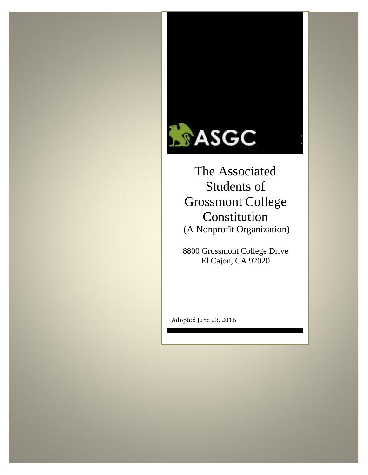

Students of Grossmont College Constitution (A Nonprofit Organization)

8800 Grossmont College Drive El Cajon, CA 92020

Adopted June 23, 2016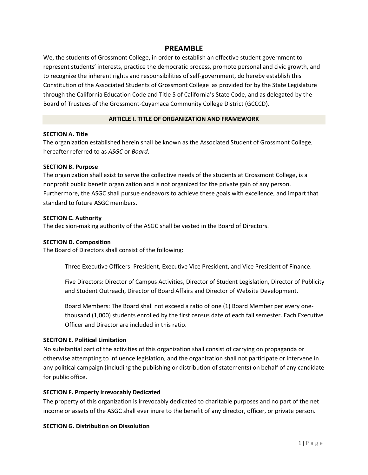# **PREAMBLE**

We, the students of Grossmont College, in order to establish an effective student government to represent students' interests, practice the democratic process, promote personal and civic growth, and to recognize the inherent rights and responsibilities of self-government, do hereby establish this Constitution of the Associated Students of Grossmont College as provided for by the State Legislature through the California Education Code and Title 5 of California's State Code, and as delegated by the Board of Trustees of the Grossmont-Cuyamaca Community College District (GCCCD).

## **ARTICLE I. TITLE OF ORGANIZATION AND FRAMEWORK**

#### **SECTION A. Title**

The organization established herein shall be known as the Associated Student of Grossmont College, hereafter referred to as *ASGC* or *Board*.

#### **SECTION B. Purpose**

The organization shall exist to serve the collective needs of the students at Grossmont College, is a nonprofit public benefit organization and is not organized for the private gain of any person. Furthermore, the ASGC shall pursue endeavors to achieve these goals with excellence, and impart that standard to future ASGC members.

#### **SECTION C. Authority**

The decision-making authority of the ASGC shall be vested in the Board of Directors.

## **SECTION D. Composition**

The Board of Directors shall consist of the following:

Three Executive Officers: President, Executive Vice President, and Vice President of Finance.

Five Directors: Director of Campus Activities, Director of Student Legislation, Director of Publicity and Student Outreach, Director of Board Affairs and Director of Website Development.

Board Members: The Board shall not exceed a ratio of one (1) Board Member per every onethousand (1,000) students enrolled by the first census date of each fall semester. Each Executive Officer and Director are included in this ratio.

# **SECITON E. Political Limitation**

No substantial part of the activities of this organization shall consist of carrying on propaganda or otherwise attempting to influence legislation, and the organization shall not participate or intervene in any political campaign (including the publishing or distribution of statements) on behalf of any candidate for public office.

## **SECTION F. Property Irrevocably Dedicated**

The property of this organization is irrevocably dedicated to charitable purposes and no part of the net income or assets of the ASGC shall ever inure to the benefit of any director, officer, or private person.

## **SECTION G. Distribution on Dissolution**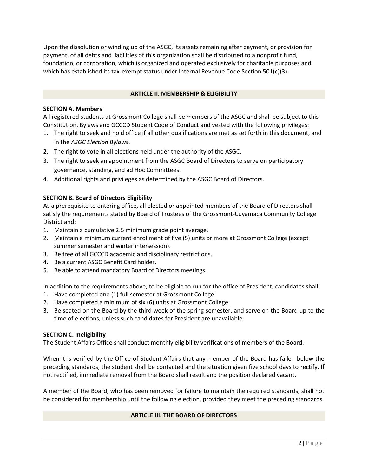Upon the dissolution or winding up of the ASGC, its assets remaining after payment, or provision for payment, of all debts and liabilities of this organization shall be distributed to a nonprofit fund, foundation, or corporation, which is organized and operated exclusively for charitable purposes and which has established its tax-exempt status under Internal Revenue Code Section 501(c)(3).

## **ARTICLE II. MEMBERSHIP & ELIGIBILITY**

#### **SECTION A. Members**

All registered students at Grossmont College shall be members of the ASGC and shall be subject to this Constitution, Bylaws and GCCCD Student Code of Conduct and vested with the following privileges:

- 1. The right to seek and hold office if all other qualifications are met as set forth in this document, and in the *ASGC Election Bylaws*.
- 2. The right to vote in all elections held under the authority of the ASGC.
- 3. The right to seek an appointment from the ASGC Board of Directors to serve on participatory governance, standing, and ad Hoc Committees.
- 4. Additional rights and privileges as determined by the ASGC Board of Directors.

## **SECTION B. Board of Directors Eligibility**

As a prerequisite to entering office, all elected or appointed members of the Board of Directors shall satisfy the requirements stated by Board of Trustees of the Grossmont-Cuyamaca Community College District and:

- 1. Maintain a cumulative 2.5 minimum grade point average.
- 2. Maintain a minimum current enrollment of five (5) units or more at Grossmont College (except summer semester and winter intersession).
- 3. Be free of all GCCCD academic and disciplinary restrictions.
- 4. Be a current ASGC Benefit Card holder.
- 5. Be able to attend mandatory Board of Directors meetings.

In addition to the requirements above, to be eligible to run for the office of President, candidates shall:

- 1. Have completed one (1) full semester at Grossmont College.
- 2. Have completed a minimum of six (6) units at Grossmont College.
- 3. Be seated on the Board by the third week of the spring semester, and serve on the Board up to the time of elections, unless such candidates for President are unavailable.

## **SECTION C. Ineligibility**

The Student Affairs Office shall conduct monthly eligibility verifications of members of the Board.

When it is verified by the Office of Student Affairs that any member of the Board has fallen below the preceding standards, the student shall be contacted and the situation given five school days to rectify. If not rectified, immediate removal from the Board shall result and the position declared vacant.

A member of the Board, who has been removed for failure to maintain the required standards, shall not be considered for membership until the following election, provided they meet the preceding standards.

## **ARTICLE III. THE BOARD OF DIRECTORS**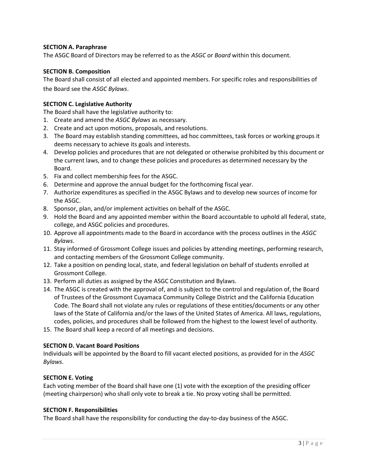# **SECTION A. Paraphrase**

The ASGC Board of Directors may be referred to as the *ASGC* or *Board* within this document.

## **SECTION B. Composition**

The Board shall consist of all elected and appointed members. For specific roles and responsibilities of the Board see the *ASGC Bylaws*.

# **SECTION C. Legislative Authority**

The Board shall have the legislative authority to:

- 1. Create and amend the *ASGC Bylaws* as necessary.
- 2. Create and act upon motions, proposals, and resolutions.
- 3. The Board may establish standing committees, ad hoc committees, task forces or working groups it deems necessary to achieve its goals and interests.
- 4. Develop policies and procedures that are not delegated or otherwise prohibited by this document or the current laws, and to change these policies and procedures as determined necessary by the Board.
- 5. Fix and collect membership fees for the ASGC.
- 6. Determine and approve the annual budget for the forthcoming fiscal year.
- 7. Authorize expenditures as specified in the ASGC Bylaws and to develop new sources of income for the ASGC.
- 8. Sponsor, plan, and/or implement activities on behalf of the ASGC.
- 9. Hold the Board and any appointed member within the Board accountable to uphold all federal, state, college, and ASGC policies and procedures.
- 10. Approve all appointments made to the Board in accordance with the process outlines in the *ASGC Bylaws*.
- 11. Stay informed of Grossmont College issues and policies by attending meetings, performing research, and contacting members of the Grossmont College community.
- 12. Take a position on pending local, state, and federal legislation on behalf of students enrolled at Grossmont College.
- 13. Perform all duties as assigned by the ASGC Constitution and Bylaws.
- 14. The ASGC is created with the approval of, and is subject to the control and regulation of, the Board of Trustees of the Grossmont Cuyamaca Community College District and the California Education Code. The Board shall not violate any rules or regulations of these entities/documents or any other laws of the State of California and/or the laws of the United States of America. All laws, regulations, codes, policies, and procedures shall be followed from the highest to the lowest level of authority.
- 15. The Board shall keep a record of all meetings and decisions.

## **SECTION D. Vacant Board Positions**

Individuals will be appointed by the Board to fill vacant elected positions, as provided for in the *ASGC Bylaws*.

## **SECTION E. Voting**

Each voting member of the Board shall have one (1) vote with the exception of the presiding officer (meeting chairperson) who shall only vote to break a tie. No proxy voting shall be permitted.

## **SECTION F. Responsibilities**

The Board shall have the responsibility for conducting the day-to-day business of the ASGC.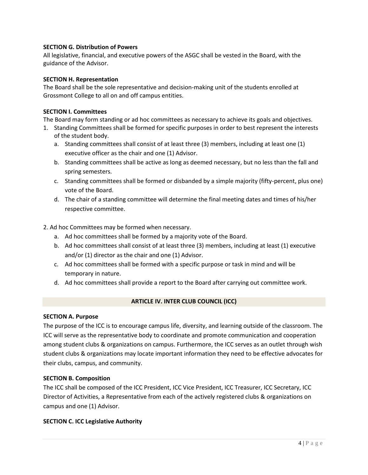# **SECTION G. Distribution of Powers**

All legislative, financial, and executive powers of the ASGC shall be vested in the Board, with the guidance of the Advisor.

## **SECTION H. Representation**

The Board shall be the sole representative and decision-making unit of the students enrolled at Grossmont College to all on and off campus entities.

## **SECTION I. Committees**

The Board may form standing or ad hoc committees as necessary to achieve its goals and objectives.

- 1. Standing Committees shall be formed for specific purposes in order to best represent the interests of the student body.
	- a. Standing committees shall consist of at least three (3) members, including at least one (1) executive officer as the chair and one (1) Advisor.
	- b. Standing committees shall be active as long as deemed necessary, but no less than the fall and spring semesters.
	- c. Standing committees shall be formed or disbanded by a simple majority (fifty-percent, plus one) vote of the Board.
	- d. The chair of a standing committee will determine the final meeting dates and times of his/her respective committee.

# 2. Ad hoc Committees may be formed when necessary.

- a. Ad hoc committees shall be formed by a majority vote of the Board.
- b. Ad hoc committees shall consist of at least three (3) members, including at least (1) executive and/or (1) director as the chair and one (1) Advisor.
- c. Ad hoc committees shall be formed with a specific purpose or task in mind and will be temporary in nature.
- d. Ad hoc committees shall provide a report to the Board after carrying out committee work.

## **ARTICLE IV. INTER CLUB COUNCIL (ICC)**

## **SECTION A. Purpose**

The purpose of the ICC is to encourage campus life, diversity, and learning outside of the classroom. The ICC will serve as the representative body to coordinate and promote communication and cooperation among student clubs & organizations on campus. Furthermore, the ICC serves as an outlet through wish student clubs & organizations may locate important information they need to be effective advocates for their clubs, campus, and community.

## **SECTION B. Composition**

The ICC shall be composed of the ICC President, ICC Vice President, ICC Treasurer, ICC Secretary, ICC Director of Activities, a Representative from each of the actively registered clubs & organizations on campus and one (1) Advisor.

## **SECTION C. ICC Legislative Authority**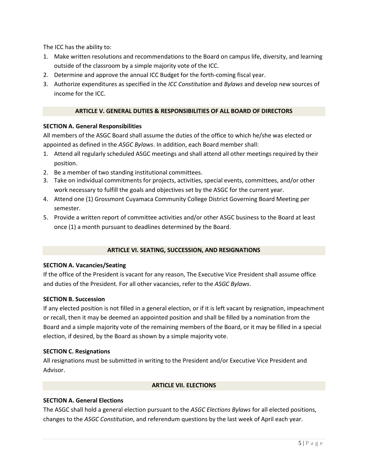The ICC has the ability to:

- 1. Make written resolutions and recommendations to the Board on campus life, diversity, and learning outside of the classroom by a simple majority vote of the ICC.
- 2. Determine and approve the annual ICC Budget for the forth-coming fiscal year.
- 3. Authorize expenditures as specified in the *ICC Constitution* and *Bylaws* and develop new sources of income for the ICC.

# **ARTICLE V. GENERAL DUTIES & RESPONSIBILITIES OF ALL BOARD OF DIRECTORS**

# **SECTION A. General Responsibilities**

All members of the ASGC Board shall assume the duties of the office to which he/she was elected or appointed as defined in the *ASGC Bylaws*. In addition, each Board member shall:

- 1. Attend all regularly scheduled ASGC meetings and shall attend all other meetings required by their position.
- 2. Be a member of two standing institutional committees.
- 3. Take on individual commitments for projects, activities, special events, committees, and/or other work necessary to fulfill the goals and objectives set by the ASGC for the current year.
- 4. Attend one (1) Grossmont Cuyamaca Community College District Governing Board Meeting per semester.
- 5. Provide a written report of committee activities and/or other ASGC business to the Board at least once (1) a month pursuant to deadlines determined by the Board.

## **ARTICLE VI. SEATING, SUCCESSION, AND RESIGNATIONS**

## **SECTION A. Vacancies/Seating**

If the office of the President is vacant for any reason, The Executive Vice President shall assume office and duties of the President. For all other vacancies, refer to the *ASGC Bylaws*.

## **SECTION B. Succession**

If any elected position is not filled in a general election, or if it is left vacant by resignation, impeachment or recall, then it may be deemed an appointed position and shall be filled by a nomination from the Board and a simple majority vote of the remaining members of the Board, or it may be filled in a special election, if desired, by the Board as shown by a simple majority vote.

## **SECTION C. Resignations**

All resignations must be submitted in writing to the President and/or Executive Vice President and Advisor.

## **ARTICLE VII. ELECTIONS**

# **SECTION A. General Elections**

The ASGC shall hold a general election pursuant to the *ASGC Elections Bylaws* for all elected positions, changes to the *ASGC Constitution*, and referendum questions by the last week of April each year.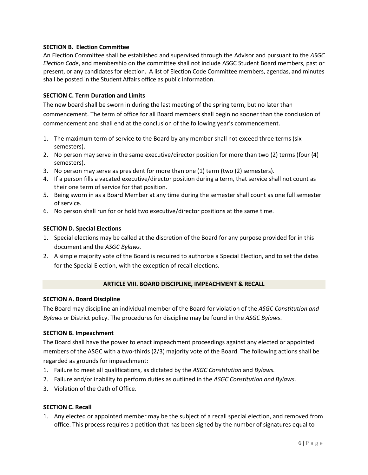# **SECTION B. Election Committee**

An Election Committee shall be established and supervised through the Advisor and pursuant to the *ASGC Election Code*, and membership on the committee shall not include ASGC Student Board members, past or present, or any candidates for election. A list of Election Code Committee members, agendas, and minutes shall be posted in the Student Affairs office as public information.

## **SECTION C. Term Duration and Limits**

The new board shall be sworn in during the last meeting of the spring term, but no later than commencement. The term of office for all Board members shall begin no sooner than the conclusion of commencement and shall end at the conclusion of the following year's commencement.

- 1. The maximum term of service to the Board by any member shall not exceed three terms (six semesters).
- 2. No person may serve in the same executive/director position for more than two (2) terms (four (4) semesters).
- 3. No person may serve as president for more than one (1) term (two (2) semesters).
- 4. If a person fills a vacated executive/director position during a term, that service shall not count as their one term of service for that position.
- 5. Being sworn in as a Board Member at any time during the semester shall count as one full semester of service.
- 6. No person shall run for or hold two executive/director positions at the same time.

## **SECTION D. Special Elections**

- 1. Special elections may be called at the discretion of the Board for any purpose provided for in this document and the *ASGC Bylaws*.
- 2. A simple majority vote of the Board is required to authorize a Special Election, and to set the dates for the Special Election, with the exception of recall elections.

## **ARTICLE VIII. BOARD DISCIPLINE, IMPEACHMENT & RECALL**

## **SECTION A. Board Discipline**

The Board may discipline an individual member of the Board for violation of the *ASGC Constitution and Bylaws* or District policy. The procedures for discipline may be found in the *ASGC Bylaws*.

## **SECTION B. Impeachment**

The Board shall have the power to enact impeachment proceedings against any elected or appointed members of the ASGC with a two-thirds (2/3) majority vote of the Board. The following actions shall be regarded as grounds for impeachment:

- 1. Failure to meet all qualifications, as dictated by the *ASGC Constitution* and *Bylaws.*
- 2. Failure and/or inability to perform duties as outlined in the *ASGC Constitution and Bylaws*.
- 3. Violation of the Oath of Office.

## **SECTION C. Recall**

1. Any elected or appointed member may be the subject of a recall special election, and removed from office. This process requires a petition that has been signed by the number of signatures equal to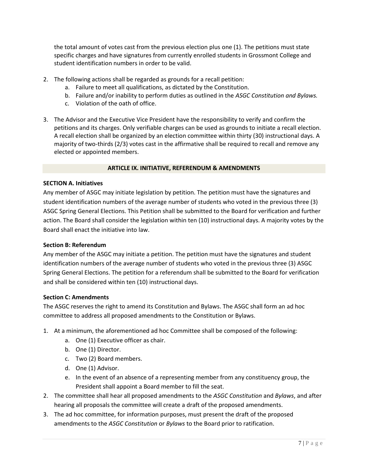the total amount of votes cast from the previous election plus one (1). The petitions must state specific charges and have signatures from currently enrolled students in Grossmont College and student identification numbers in order to be valid.

- 2. The following actions shall be regarded as grounds for a recall petition:
	- a. Failure to meet all qualifications, as dictated by the Constitution.
	- b. Failure and/or inability to perform duties as outlined in the *ASGC Constitution and Bylaws.*
	- c. Violation of the oath of office.
- 3. The Advisor and the Executive Vice President have the responsibility to verify and confirm the petitions and its charges. Only verifiable charges can be used as grounds to initiate a recall election. A recall election shall be organized by an election committee within thirty (30) instructional days. A majority of two-thirds (2/3) votes cast in the affirmative shall be required to recall and remove any elected or appointed members.

#### **ARTICLE IX. INITIATIVE, REFERENDUM & AMENDMENTS**

#### **SECTION A. Initiatives**

Any member of ASGC may initiate legislation by petition. The petition must have the signatures and student identification numbers of the average number of students who voted in the previous three (3) ASGC Spring General Elections. This Petition shall be submitted to the Board for verification and further action. The Board shall consider the legislation within ten (10) instructional days. A majority votes by the Board shall enact the initiative into law.

#### **Section B: Referendum**

Any member of the ASGC may initiate a petition. The petition must have the signatures and student identification numbers of the average number of students who voted in the previous three (3) ASGC Spring General Elections. The petition for a referendum shall be submitted to the Board for verification and shall be considered within ten (10) instructional days.

#### **Section C: Amendments**

The ASGC reserves the right to amend its Constitution and Bylaws. The ASGC shall form an ad hoc committee to address all proposed amendments to the Constitution or Bylaws.

- 1. At a minimum, the aforementioned ad hoc Committee shall be composed of the following:
	- a. One (1) Executive officer as chair.
	- b. One (1) Director.
	- c. Two (2) Board members.
	- d. One (1) Advisor.
	- e. In the event of an absence of a representing member from any constituency group, the President shall appoint a Board member to fill the seat.
- 2. The committee shall hear all proposed amendments to the *ASGC Constitution* and *Bylaws*, and after hearing all proposals the committee will create a draft of the proposed amendments.
- 3. The ad hoc committee, for information purposes, must present the draft of the proposed amendments to the *ASGC Constitution* or *Bylaws* to the Board prior to ratification.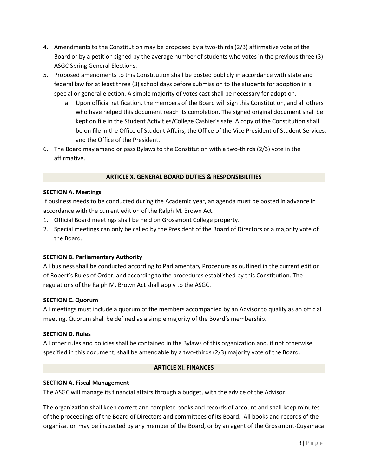- 4. Amendments to the Constitution may be proposed by a two-thirds (2/3) affirmative vote of the Board or by a petition signed by the average number of students who votes in the previous three (3) ASGC Spring General Elections.
- 5. Proposed amendments to this Constitution shall be posted publicly in accordance with state and federal law for at least three (3) school days before submission to the students for adoption in a special or general election. A simple majority of votes cast shall be necessary for adoption.
	- a. Upon official ratification, the members of the Board will sign this Constitution, and all others who have helped this document reach its completion. The signed original document shall be kept on file in the Student Activities/College Cashier's safe. A copy of the Constitution shall be on file in the Office of Student Affairs, the Office of the Vice President of Student Services, and the Office of the President.
- 6. The Board may amend or pass Bylaws to the Constitution with a two-thirds (2/3) vote in the affirmative.

# **ARTICLE X. GENERAL BOARD DUTIES & RESPONSIBILITIES**

#### **SECTION A. Meetings**

If business needs to be conducted during the Academic year, an agenda must be posted in advance in accordance with the current edition of the Ralph M. Brown Act.

- 1. Official Board meetings shall be held on Grossmont College property.
- 2. Special meetings can only be called by the President of the Board of Directors or a majority vote of the Board.

## **SECTION B. Parliamentary Authority**

All business shall be conducted according to Parliamentary Procedure as outlined in the current edition of Robert's Rules of Order, and according to the procedures established by this Constitution. The regulations of the Ralph M. Brown Act shall apply to the ASGC.

## **SECTION C. Quorum**

All meetings must include a quorum of the members accompanied by an Advisor to qualify as an official meeting. Quorum shall be defined as a simple majority of the Board's membership.

## **SECTION D. Rules**

All other rules and policies shall be contained in the Bylaws of this organization and, if not otherwise specified in this document, shall be amendable by a two-thirds (2/3) majority vote of the Board.

#### **ARTICLE XI. FINANCES**

## **SECTION A. Fiscal Management**

The ASGC will manage its financial affairs through a budget, with the advice of the Advisor.

The organization shall keep correct and complete books and records of account and shall keep minutes of the proceedings of the Board of Directors and committees of its Board. All books and records of the organization may be inspected by any member of the Board, or by an agent of the Grossmont-Cuyamaca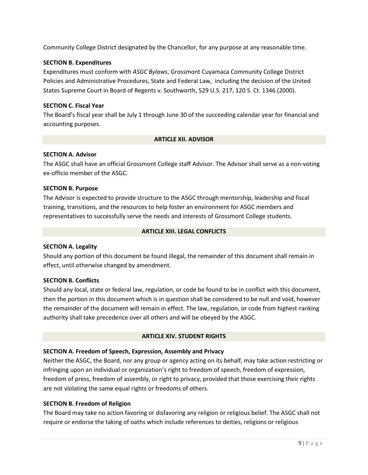Community College District designated by the Chancellor, for any purpose at any reasonable time.

# **SECTION B. Expenditures**

Expenditures must conform with *ASGC Bylaws*, Grossmont Cuyamaca Community College District Policies and Administrative Procedures, State and Federal Law, including the decision of the United States Supreme Court in Board of Regents v. Southworth, 529 U.S. 217, 120 S. Ct. 1346 (2000).

## **SECTION C. Fiscal Year**

The Board's fiscal year shall be July 1 through June 30 of the succeeding calendar year for financial and accounting purposes.

## **ARTICLE XII. ADVISOR**

## **SECTION A. Advisor**

The ASGC shall have an official Grossmont College staff Advisor. The Advisor shall serve as a non-voting ex-officio member of the ASGC.

## **SECTION B. Purpose**

The Advisor is expected to provide structure to the ASGC through mentorship, leadership and fiscal training, transitions, and the resources to help foster an environment for ASGC members and representatives to successfully serve the needs and interests of Grossmont College students.

## **ARTICLE XIII. LEGAL CONFLICTS**

## **SECTION A. Legality**

Should any portion of this document be found illegal, the remainder of this document shall remain in effect, until otherwise changed by amendment.

# **SECTION B. Conflicts**

Should any local, state or federal law, regulation, or code be found to be in conflict with this document, then the portion in this document which is in question shall be considered to be null and void, however the remainder of the document will remain in effect. The law, regulation, or code from highest-ranking authority shall take precedence over all others and will be obeyed by the ASGC.

## **ARTICLE XIV. STUDENT RIGHTS**

## **SECTION A. Freedom of Speech, Expression, Assembly and Privacy**

Neither the ASGC, the Board, nor any group or agency acting on its behalf, may take action restricting or infringing upon an individual or organization's right to freedom of speech, freedom of expression, freedom of press, freedom of assembly, or right to privacy, provided that those exercising their rights are not violating the same equal rights or freedoms of others.

## **SECTION B. Freedom of Religion**

The Board may take no action favoring or disfavoring any religion or religious belief. The ASGC shall not require or endorse the taking of oaths which include references to deities, religions or religious